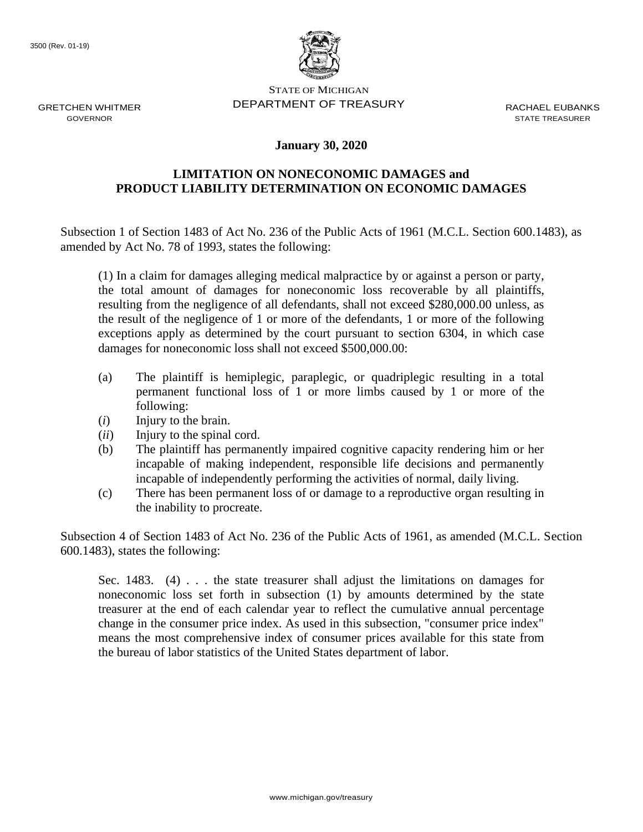

STATE OF MICHIGAN DEPARTMENT OF TREASURY RACHAEL FURANKS

STATE TREASURER

## **January 30, 2020**

## **LIMITATION ON NONECONOMIC DAMAGES and PRODUCT LIABILITY DETERMINATION ON ECONOMIC DAMAGES**

Subsection 1 of Section 1483 of Act No. 236 of the Public Acts of 1961 (M.C.L. Section 600.1483), as amended by Act No. 78 of 1993, states the following:

(1) In a claim for damages alleging medical malpractice by or against a person or party, the total amount of damages for noneconomic loss recoverable by all plaintiffs, resulting from the negligence of all defendants, shall not exceed \$280,000.00 unless, as the result of the negligence of 1 or more of the defendants, 1 or more of the following exceptions apply as determined by the court pursuant to section 6304, in which case damages for noneconomic loss shall not exceed \$500,000.00:

- (a) The plaintiff is hemiplegic, paraplegic, or quadriplegic resulting in a total permanent functional loss of 1 or more limbs caused by 1 or more of the following:
- (*i*) Injury to the brain.
- (*ii*) Injury to the spinal cord.
- (b) The plaintiff has permanently impaired cognitive capacity rendering him or her incapable of making independent, responsible life decisions and permanently incapable of independently performing the activities of normal, daily living.
- (c) There has been permanent loss of or damage to a reproductive organ resulting in the inability to procreate.

Subsection 4 of Section 1483 of Act No. 236 of the Public Acts of 1961, as amended (M.C.L. Section 600.1483), states the following:

Sec. 1483. (4)  $\ldots$  the state treasurer shall adjust the limitations on damages for noneconomic loss set forth in subsection (1) by amounts determined by the state treasurer at the end of each calendar year to reflect the cumulative annual percentage change in the consumer price index. As used in this subsection, "consumer price index" means the most comprehensive index of consumer prices available for this state from the bureau of labor statistics of the United States department of labor.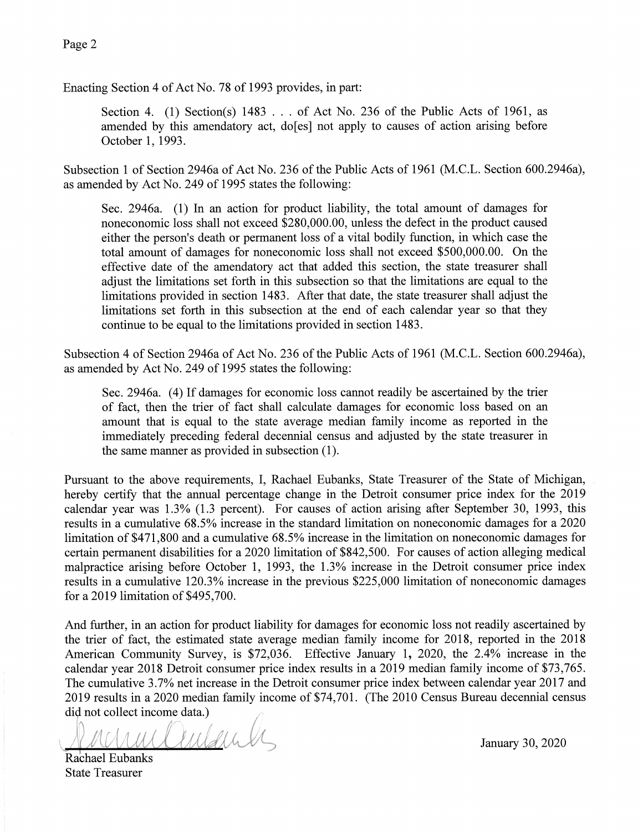Enacting Section 4 of Act No. 78 of 1993 provides, in part:

Section 4. (1) Section(s) 1483 . . . of Act No. 236 of the Public Acts of 1961. as amended by this amendatory act, do [es] not apply to causes of action arising before October 1, 1993.

Subsection 1 of Section 2946a of Act No. 236 of the Public Acts of 1961 (M.C.L. Section 600.2946a), as amended by Act No. 249 of 1995 states the following:

Sec. 2946a. (1) In an action for product liability, the total amount of damages for noneconomic loss shall not exceed \$280,000.00, unless the defect in the product caused either the person's death or permanent loss of a vital bodily function, in which case the total amount of damages for noneconomic loss shall not exceed \$500,000.00. On the effective date of the amendatory act that added this section, the state treasurer shall adjust the limitations set forth in this subsection so that the limitations are equal to the limitations provided in section 1483. After that date, the state treasurer shall adjust the limitations set forth in this subsection at the end of each calendar year so that they continue to be equal to the limitations provided in section 1483.

Subsection 4 of Section 2946a of Act No. 236 of the Public Acts of 1961 (M.C.L. Section 600.2946a), as amended by Act No. 249 of 1995 states the following:

Sec. 2946a. (4) If damages for economic loss cannot readily be ascertained by the trier of fact, then the trier of fact shall calculate damages for economic loss based on an amount that is equal to the state average median family income as reported in the immediately preceding federal decennial census and adjusted by the state treasurer in the same manner as provided in subsection (1).

Pursuant to the above requirements, I, Rachael Eubanks, State Treasurer of the State of Michigan, hereby certify that the annual percentage change in the Detroit consumer price index for the 2019 calendar year was 1.3% (1.3 percent). For causes of action arising after September 30, 1993, this results in a cumulative 68.5% increase in the standard limitation on noneconomic damages for a 2020 limitation of \$471,800 and a cumulative 68.5% increase in the limitation on noneconomic damages for certain permanent disabilities for a 2020 limitation of \$842,500. For causes of action alleging medical malpractice arising before October 1, 1993, the 1.3% increase in the Detroit consumer price index results in a cumulative 120.3% increase in the previous \$225,000 limitation of noneconomic damages for a 2019 limitation of \$495,700.

And further, in an action for product liability for damages for economic loss not readily ascertained by the trier of fact, the estimated state average median family income for 2018, reported in the 2018 American Community Survey, is \$72,036. Effective January 1, 2020, the 2.4% increase in the calendar year 2018 Detroit consumer price index results in a 2019 median family income of \$73,765. The cumulative 3.7% net increase in the Detroit consumer price index between calendar year 2017 and 2019 results in a 2020 median family income of \$74,701. (The 2010 Census Bureau decennial census did not collect income data.)

uclindente Rachael Eubanks

January 30, 2020

**State Treasurer**